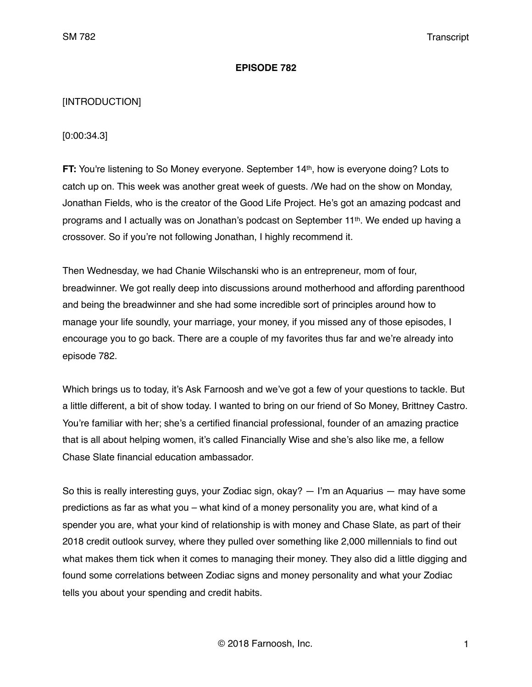## **EPISODE 782**

# [INTRODUCTION]

[0:00:34.3]

**FT:** You're listening to So Money everyone. September 14th, how is everyone doing? Lots to catch up on. This week was another great week of guests. /We had on the show on Monday, Jonathan Fields, who is the creator of the Good Life Project. He's got an amazing podcast and programs and I actually was on Jonathan's podcast on September 11th. We ended up having a crossover. So if you're not following Jonathan, I highly recommend it.

Then Wednesday, we had Chanie Wilschanski who is an entrepreneur, mom of four, breadwinner. We got really deep into discussions around motherhood and affording parenthood and being the breadwinner and she had some incredible sort of principles around how to manage your life soundly, your marriage, your money, if you missed any of those episodes, I encourage you to go back. There are a couple of my favorites thus far and we're already into episode 782.

Which brings us to today, it's Ask Farnoosh and we've got a few of your questions to tackle. But a little different, a bit of show today. I wanted to bring on our friend of So Money, Brittney Castro. You're familiar with her; she's a certified financial professional, founder of an amazing practice that is all about helping women, it's called Financially Wise and she's also like me, a fellow Chase Slate financial education ambassador.

So this is really interesting guys, your Zodiac sign, okay? — I'm an Aquarius — may have some predictions as far as what you – what kind of a money personality you are, what kind of a spender you are, what your kind of relationship is with money and Chase Slate, as part of their 2018 credit outlook survey, where they pulled over something like 2,000 millennials to find out what makes them tick when it comes to managing their money. They also did a little digging and found some correlations between Zodiac signs and money personality and what your Zodiac tells you about your spending and credit habits.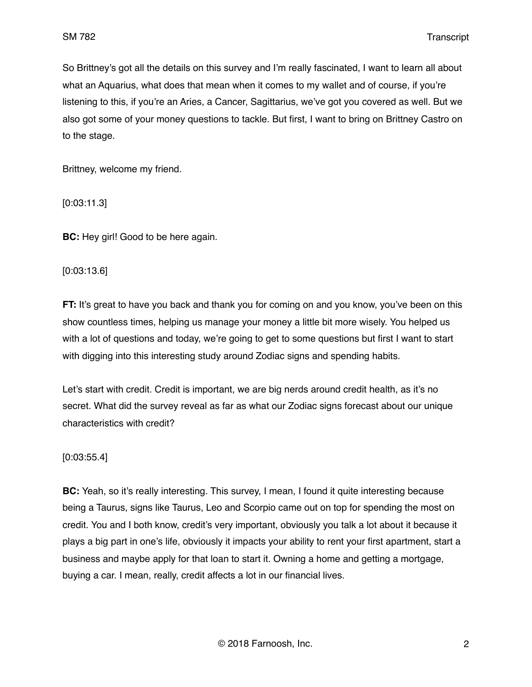So Brittney's got all the details on this survey and I'm really fascinated, I want to learn all about what an Aquarius, what does that mean when it comes to my wallet and of course, if you're listening to this, if you're an Aries, a Cancer, Sagittarius, we've got you covered as well. But we also got some of your money questions to tackle. But first, I want to bring on Brittney Castro on to the stage.

Brittney, welcome my friend.

[0:03:11.3]

**BC:** Hey girl! Good to be here again.

[0:03:13.6]

**FT:** It's great to have you back and thank you for coming on and you know, you've been on this show countless times, helping us manage your money a little bit more wisely. You helped us with a lot of questions and today, we're going to get to some questions but first I want to start with digging into this interesting study around Zodiac signs and spending habits.

Let's start with credit. Credit is important, we are big nerds around credit health, as it's no secret. What did the survey reveal as far as what our Zodiac signs forecast about our unique characteristics with credit?

#### [0:03:55.4]

**BC:** Yeah, so it's really interesting. This survey, I mean, I found it quite interesting because being a Taurus, signs like Taurus, Leo and Scorpio came out on top for spending the most on credit. You and I both know, credit's very important, obviously you talk a lot about it because it plays a big part in one's life, obviously it impacts your ability to rent your first apartment, start a business and maybe apply for that loan to start it. Owning a home and getting a mortgage, buying a car. I mean, really, credit affects a lot in our financial lives.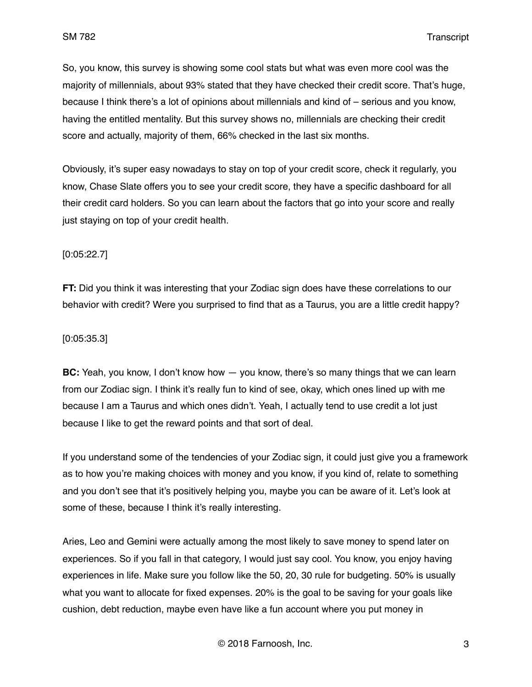So, you know, this survey is showing some cool stats but what was even more cool was the majority of millennials, about 93% stated that they have checked their credit score. That's huge, because I think there's a lot of opinions about millennials and kind of – serious and you know, having the entitled mentality. But this survey shows no, millennials are checking their credit score and actually, majority of them, 66% checked in the last six months.

Obviously, it's super easy nowadays to stay on top of your credit score, check it regularly, you know, Chase Slate offers you to see your credit score, they have a specific dashboard for all their credit card holders. So you can learn about the factors that go into your score and really just staying on top of your credit health.

### [0:05:22.7]

**FT:** Did you think it was interesting that your Zodiac sign does have these correlations to our behavior with credit? Were you surprised to find that as a Taurus, you are a little credit happy?

#### [0:05:35.3]

**BC:** Yeah, you know, I don't know how  $-$  you know, there's so many things that we can learn from our Zodiac sign. I think it's really fun to kind of see, okay, which ones lined up with me because I am a Taurus and which ones didn't. Yeah, I actually tend to use credit a lot just because I like to get the reward points and that sort of deal.

If you understand some of the tendencies of your Zodiac sign, it could just give you a framework as to how you're making choices with money and you know, if you kind of, relate to something and you don't see that it's positively helping you, maybe you can be aware of it. Let's look at some of these, because I think it's really interesting.

Aries, Leo and Gemini were actually among the most likely to save money to spend later on experiences. So if you fall in that category, I would just say cool. You know, you enjoy having experiences in life. Make sure you follow like the 50, 20, 30 rule for budgeting. 50% is usually what you want to allocate for fixed expenses. 20% is the goal to be saving for your goals like cushion, debt reduction, maybe even have like a fun account where you put money in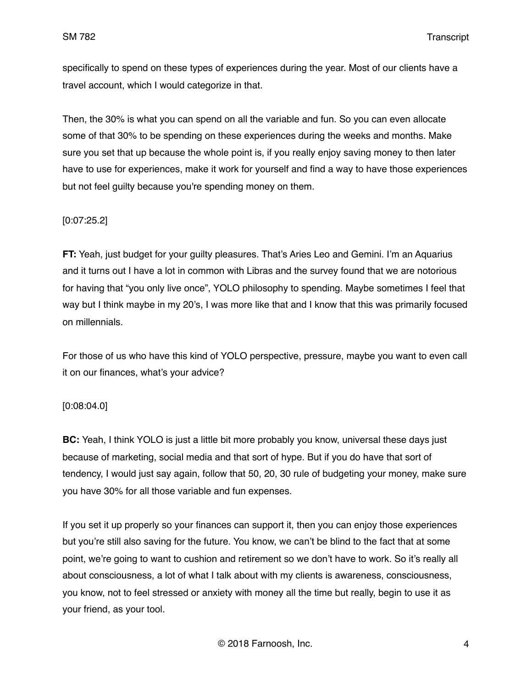specifically to spend on these types of experiences during the year. Most of our clients have a travel account, which I would categorize in that.

Then, the 30% is what you can spend on all the variable and fun. So you can even allocate some of that 30% to be spending on these experiences during the weeks and months. Make sure you set that up because the whole point is, if you really enjoy saving money to then later have to use for experiences, make it work for yourself and find a way to have those experiences but not feel guilty because you're spending money on them.

## [0:07:25.2]

**FT:** Yeah, just budget for your guilty pleasures. That's Aries Leo and Gemini. I'm an Aquarius and it turns out I have a lot in common with Libras and the survey found that we are notorious for having that "you only live once", YOLO philosophy to spending. Maybe sometimes I feel that way but I think maybe in my 20's, I was more like that and I know that this was primarily focused on millennials.

For those of us who have this kind of YOLO perspective, pressure, maybe you want to even call it on our finances, what's your advice?

### [0:08:04.0]

**BC:** Yeah, I think YOLO is just a little bit more probably you know, universal these days just because of marketing, social media and that sort of hype. But if you do have that sort of tendency, I would just say again, follow that 50, 20, 30 rule of budgeting your money, make sure you have 30% for all those variable and fun expenses.

If you set it up properly so your finances can support it, then you can enjoy those experiences but you're still also saving for the future. You know, we can't be blind to the fact that at some point, we're going to want to cushion and retirement so we don't have to work. So it's really all about consciousness, a lot of what I talk about with my clients is awareness, consciousness, you know, not to feel stressed or anxiety with money all the time but really, begin to use it as your friend, as your tool.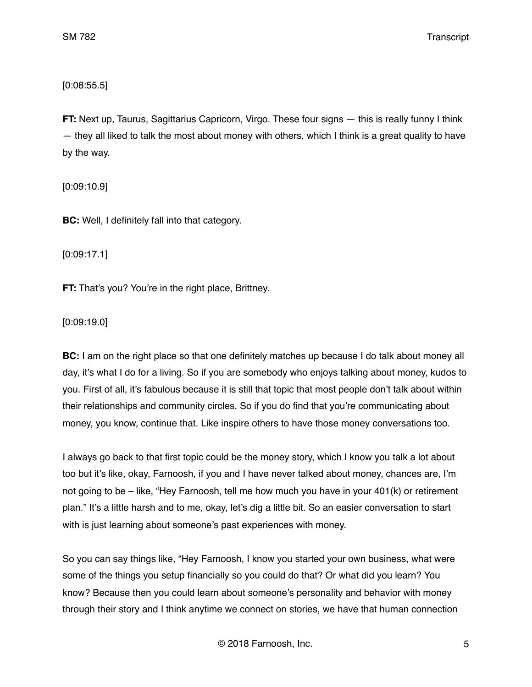[0:08:55.5]

**FT:** Next up, Taurus, Sagittarius Capricorn, Virgo. These four signs — this is really funny I think — they all liked to talk the most about money with others, which I think is a great quality to have by the way.

[0:09:10.9]

**BC:** Well, I definitely fall into that category.

[0:09:17.1]

**FT:** That's you? You're in the right place, Brittney.

[0:09:19.0]

**BC:** I am on the right place so that one definitely matches up because I do talk about money all day, it's what I do for a living. So if you are somebody who enjoys talking about money, kudos to you. First of all, it's fabulous because it is still that topic that most people don't talk about within their relationships and community circles. So if you do find that you're communicating about money, you know, continue that. Like inspire others to have those money conversations too.

I always go back to that first topic could be the money story, which I know you talk a lot about too but it's like, okay, Farnoosh, if you and I have never talked about money, chances are, I'm not going to be – like, "Hey Farnoosh, tell me how much you have in your 401(k) or retirement plan." It's a little harsh and to me, okay, let's dig a little bit. So an easier conversation to start with is just learning about someone's past experiences with money.

So you can say things like, "Hey Farnoosh, I know you started your own business, what were some of the things you setup financially so you could do that? Or what did you learn? You know? Because then you could learn about someone's personality and behavior with money through their story and I think anytime we connect on stories, we have that human connection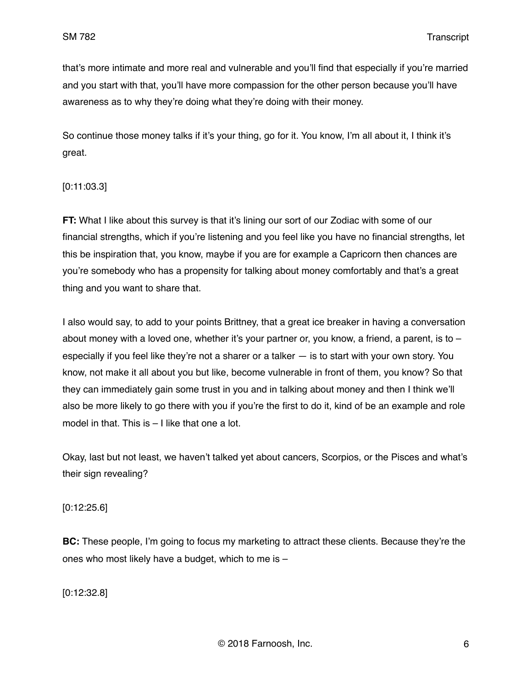that's more intimate and more real and vulnerable and you'll find that especially if you're married and you start with that, you'll have more compassion for the other person because you'll have awareness as to why they're doing what they're doing with their money.

So continue those money talks if it's your thing, go for it. You know, I'm all about it, I think it's great.

## [0:11:03.3]

**FT:** What I like about this survey is that it's lining our sort of our Zodiac with some of our financial strengths, which if you're listening and you feel like you have no financial strengths, let this be inspiration that, you know, maybe if you are for example a Capricorn then chances are you're somebody who has a propensity for talking about money comfortably and that's a great thing and you want to share that.

I also would say, to add to your points Brittney, that a great ice breaker in having a conversation about money with a loved one, whether it's your partner or, you know, a friend, a parent, is to  $$ especially if you feel like they're not a sharer or a talker — is to start with your own story. You know, not make it all about you but like, become vulnerable in front of them, you know? So that they can immediately gain some trust in you and in talking about money and then I think we'll also be more likely to go there with you if you're the first to do it, kind of be an example and role model in that. This is – I like that one a lot.

Okay, last but not least, we haven't talked yet about cancers, Scorpios, or the Pisces and what's their sign revealing?

### [0:12:25.6]

**BC:** These people, I'm going to focus my marketing to attract these clients. Because they're the ones who most likely have a budget, which to me is –

[0:12:32.8]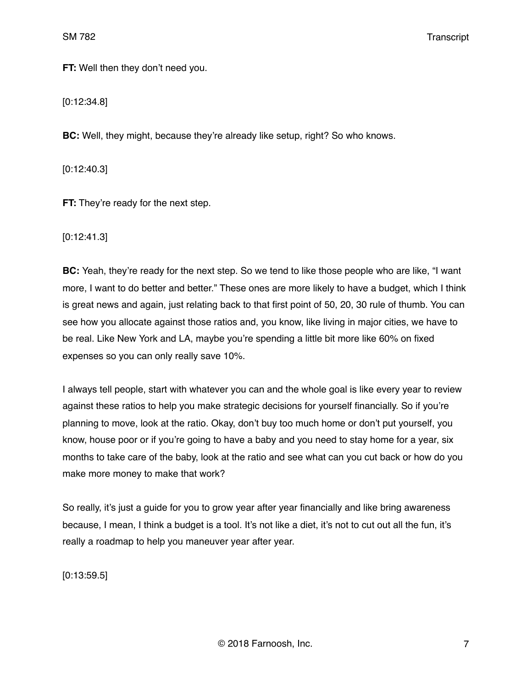**FT:** Well then they don't need you.

[0:12:34.8]

**BC:** Well, they might, because they're already like setup, right? So who knows.

[0:12:40.3]

**FT:** They're ready for the next step.

[0:12:41.3]

**BC:** Yeah, they're ready for the next step. So we tend to like those people who are like, "I want more, I want to do better and better." These ones are more likely to have a budget, which I think is great news and again, just relating back to that first point of 50, 20, 30 rule of thumb. You can see how you allocate against those ratios and, you know, like living in major cities, we have to be real. Like New York and LA, maybe you're spending a little bit more like 60% on fixed expenses so you can only really save 10%.

I always tell people, start with whatever you can and the whole goal is like every year to review against these ratios to help you make strategic decisions for yourself financially. So if you're planning to move, look at the ratio. Okay, don't buy too much home or don't put yourself, you know, house poor or if you're going to have a baby and you need to stay home for a year, six months to take care of the baby, look at the ratio and see what can you cut back or how do you make more money to make that work?

So really, it's just a guide for you to grow year after year financially and like bring awareness because, I mean, I think a budget is a tool. It's not like a diet, it's not to cut out all the fun, it's really a roadmap to help you maneuver year after year.

[0:13:59.5]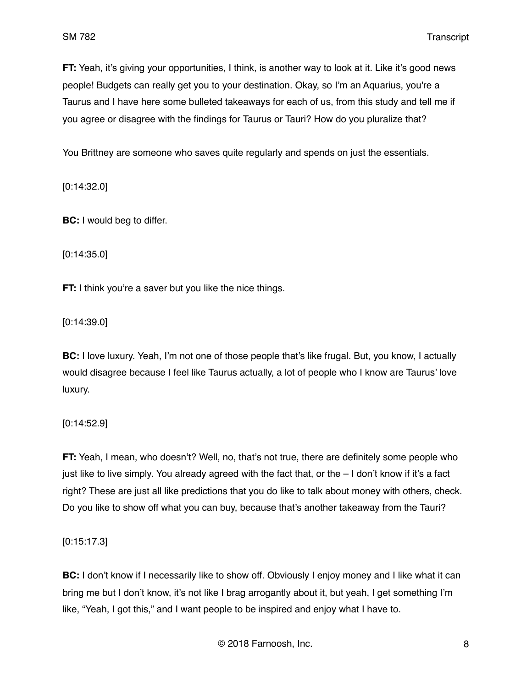**FT:** Yeah, it's giving your opportunities, I think, is another way to look at it. Like it's good news people! Budgets can really get you to your destination. Okay, so I'm an Aquarius, you're a Taurus and I have here some bulleted takeaways for each of us, from this study and tell me if you agree or disagree with the findings for Taurus or Tauri? How do you pluralize that?

You Brittney are someone who saves quite regularly and spends on just the essentials.

[0:14:32.0]

**BC:** I would beg to differ.

[0:14:35.0]

**FT:** I think you're a saver but you like the nice things.

[0:14:39.0]

**BC:** I love luxury. Yeah, I'm not one of those people that's like frugal. But, you know, I actually would disagree because I feel like Taurus actually, a lot of people who I know are Taurus' love luxury.

[0:14:52.9]

**FT:** Yeah, I mean, who doesn't? Well, no, that's not true, there are definitely some people who just like to live simply. You already agreed with the fact that, or the – I don't know if it's a fact right? These are just all like predictions that you do like to talk about money with others, check. Do you like to show off what you can buy, because that's another takeaway from the Tauri?

[0:15:17.3]

**BC:** I don't know if I necessarily like to show off. Obviously I enjoy money and I like what it can bring me but I don't know, it's not like I brag arrogantly about it, but yeah, I get something I'm like, "Yeah, I got this," and I want people to be inspired and enjoy what I have to.

© 2018 Farnoosh, Inc. 8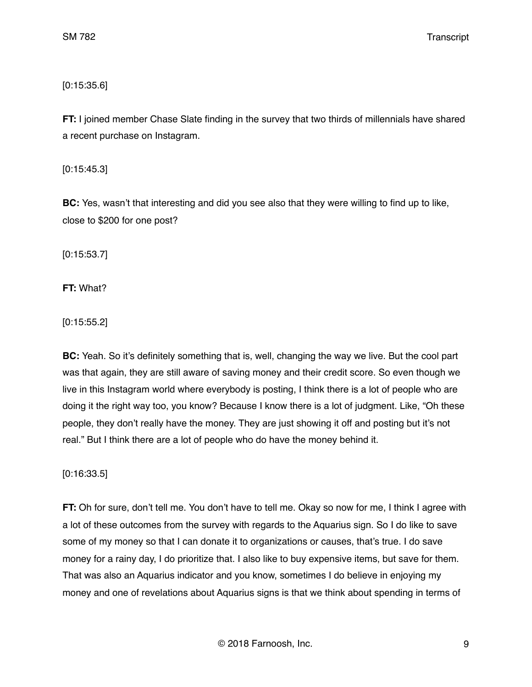# [0:15:35.6]

**FT:** I joined member Chase Slate finding in the survey that two thirds of millennials have shared a recent purchase on Instagram.

[0:15:45.3]

**BC:** Yes, wasn't that interesting and did you see also that they were willing to find up to like, close to \$200 for one post?

[0:15:53.7]

**FT:** What?

[0:15:55.2]

**BC:** Yeah. So it's definitely something that is, well, changing the way we live. But the cool part was that again, they are still aware of saving money and their credit score. So even though we live in this Instagram world where everybody is posting, I think there is a lot of people who are doing it the right way too, you know? Because I know there is a lot of judgment. Like, "Oh these people, they don't really have the money. They are just showing it off and posting but it's not real." But I think there are a lot of people who do have the money behind it.

# [0:16:33.5]

**FT:** Oh for sure, don't tell me. You don't have to tell me. Okay so now for me, I think I agree with a lot of these outcomes from the survey with regards to the Aquarius sign. So I do like to save some of my money so that I can donate it to organizations or causes, that's true. I do save money for a rainy day, I do prioritize that. I also like to buy expensive items, but save for them. That was also an Aquarius indicator and you know, sometimes I do believe in enjoying my money and one of revelations about Aquarius signs is that we think about spending in terms of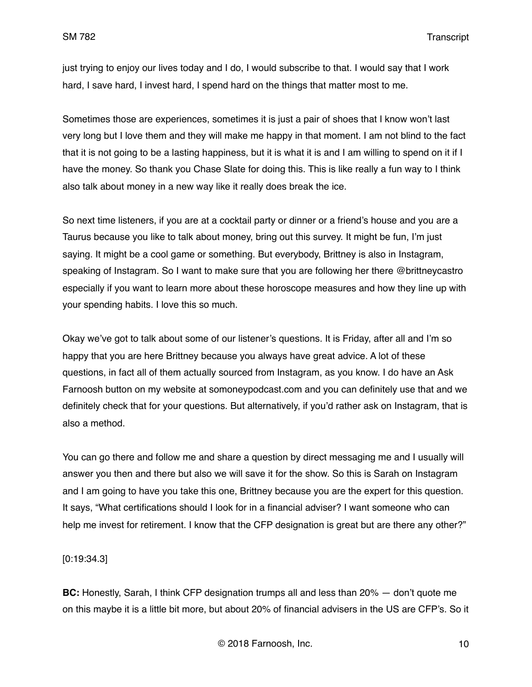just trying to enjoy our lives today and I do, I would subscribe to that. I would say that I work hard, I save hard, I invest hard, I spend hard on the things that matter most to me.

Sometimes those are experiences, sometimes it is just a pair of shoes that I know won't last very long but I love them and they will make me happy in that moment. I am not blind to the fact that it is not going to be a lasting happiness, but it is what it is and I am willing to spend on it if I have the money. So thank you Chase Slate for doing this. This is like really a fun way to I think also talk about money in a new way like it really does break the ice.

So next time listeners, if you are at a cocktail party or dinner or a friend's house and you are a Taurus because you like to talk about money, bring out this survey. It might be fun, I'm just saying. It might be a cool game or something. But everybody, Brittney is also in Instagram, speaking of Instagram. So I want to make sure that you are following her there @brittneycastro especially if you want to learn more about these horoscope measures and how they line up with your spending habits. I love this so much.

Okay we've got to talk about some of our listener's questions. It is Friday, after all and I'm so happy that you are here Brittney because you always have great advice. A lot of these questions, in fact all of them actually sourced from Instagram, as you know. I do have an Ask Farnoosh button on my website at somoneypodcast.com and you can definitely use that and we definitely check that for your questions. But alternatively, if you'd rather ask on Instagram, that is also a method.

You can go there and follow me and share a question by direct messaging me and I usually will answer you then and there but also we will save it for the show. So this is Sarah on Instagram and I am going to have you take this one, Brittney because you are the expert for this question. It says, "What certifications should I look for in a financial adviser? I want someone who can help me invest for retirement. I know that the CFP designation is great but are there any other?"

[0:19:34.3]

**BC:** Honestly, Sarah, I think CFP designation trumps all and less than 20% — don't quote me on this maybe it is a little bit more, but about 20% of financial advisers in the US are CFP's. So it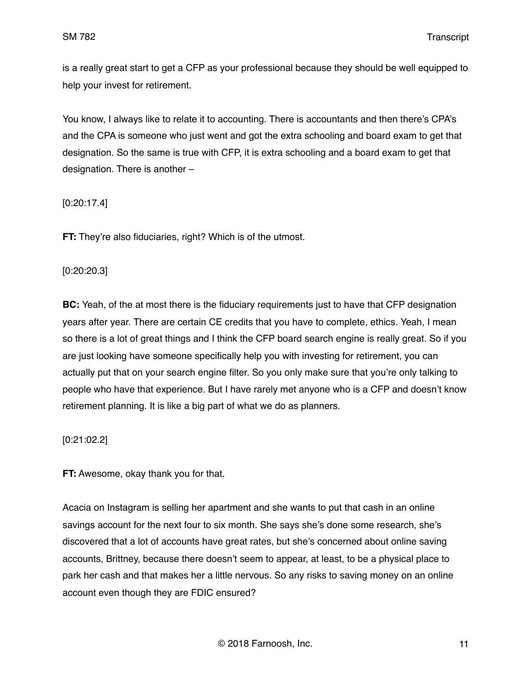is a really great start to get a CFP as your professional because they should be well equipped to help your invest for retirement.

You know, I always like to relate it to accounting. There is accountants and then there's CPA's and the CPA is someone who just went and got the extra schooling and board exam to get that designation. So the same is true with CFP, it is extra schooling and a board exam to get that designation. There is another –

[0:20:17.4]

**FT:** They're also fiduciaries, right? Which is of the utmost.

### [0:20:20.3]

**BC:** Yeah, of the at most there is the fiduciary requirements just to have that CFP designation years after year. There are certain CE credits that you have to complete, ethics. Yeah, I mean so there is a lot of great things and I think the CFP board search engine is really great. So if you are just looking have someone specifically help you with investing for retirement, you can actually put that on your search engine filter. So you only make sure that you're only talking to people who have that experience. But I have rarely met anyone who is a CFP and doesn't know retirement planning. It is like a big part of what we do as planners.

[0:21:02.2]

**FT:** Awesome, okay thank you for that.

Acacia on Instagram is selling her apartment and she wants to put that cash in an online savings account for the next four to six month. She says she's done some research, she's discovered that a lot of accounts have great rates, but she's concerned about online saving accounts, Brittney, because there doesn't seem to appear, at least, to be a physical place to park her cash and that makes her a little nervous. So any risks to saving money on an online account even though they are FDIC ensured?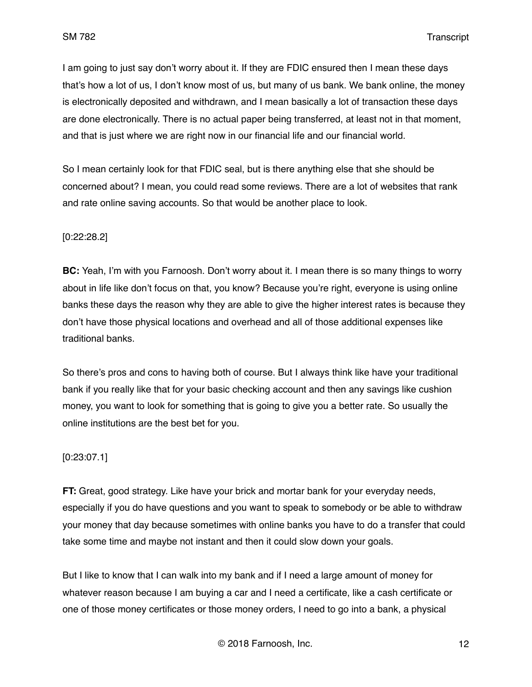I am going to just say don't worry about it. If they are FDIC ensured then I mean these days that's how a lot of us, I don't know most of us, but many of us bank. We bank online, the money is electronically deposited and withdrawn, and I mean basically a lot of transaction these days are done electronically. There is no actual paper being transferred, at least not in that moment, and that is just where we are right now in our financial life and our financial world.

So I mean certainly look for that FDIC seal, but is there anything else that she should be concerned about? I mean, you could read some reviews. There are a lot of websites that rank and rate online saving accounts. So that would be another place to look.

## [0:22:28.2]

**BC:** Yeah, I'm with you Farnoosh. Don't worry about it. I mean there is so many things to worry about in life like don't focus on that, you know? Because you're right, everyone is using online banks these days the reason why they are able to give the higher interest rates is because they don't have those physical locations and overhead and all of those additional expenses like traditional banks.

So there's pros and cons to having both of course. But I always think like have your traditional bank if you really like that for your basic checking account and then any savings like cushion money, you want to look for something that is going to give you a better rate. So usually the online institutions are the best bet for you.

### [0:23:07.1]

**FT:** Great, good strategy. Like have your brick and mortar bank for your everyday needs, especially if you do have questions and you want to speak to somebody or be able to withdraw your money that day because sometimes with online banks you have to do a transfer that could take some time and maybe not instant and then it could slow down your goals.

But I like to know that I can walk into my bank and if I need a large amount of money for whatever reason because I am buying a car and I need a certificate, like a cash certificate or one of those money certificates or those money orders, I need to go into a bank, a physical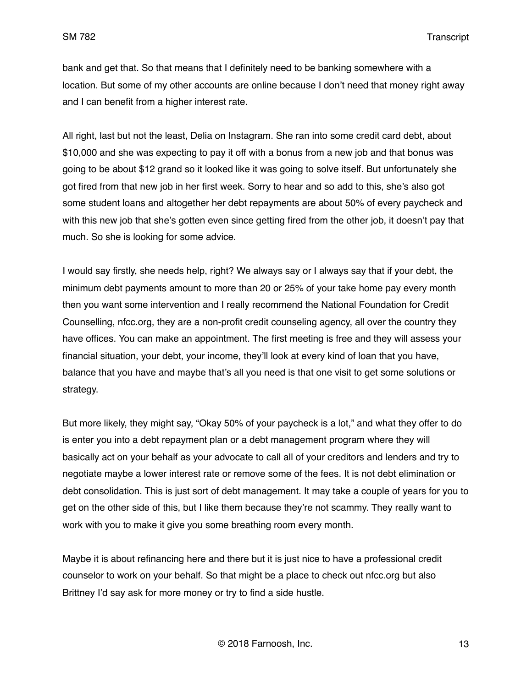bank and get that. So that means that I definitely need to be banking somewhere with a location. But some of my other accounts are online because I don't need that money right away and I can benefit from a higher interest rate.

All right, last but not the least, Delia on Instagram. She ran into some credit card debt, about \$10,000 and she was expecting to pay it off with a bonus from a new job and that bonus was going to be about \$12 grand so it looked like it was going to solve itself. But unfortunately she got fired from that new job in her first week. Sorry to hear and so add to this, she's also got some student loans and altogether her debt repayments are about 50% of every paycheck and with this new job that she's gotten even since getting fired from the other job, it doesn't pay that much. So she is looking for some advice.

I would say firstly, she needs help, right? We always say or I always say that if your debt, the minimum debt payments amount to more than 20 or 25% of your take home pay every month then you want some intervention and I really recommend the National Foundation for Credit Counselling, nfcc.org, they are a non-profit credit counseling agency, all over the country they have offices. You can make an appointment. The first meeting is free and they will assess your financial situation, your debt, your income, they'll look at every kind of loan that you have, balance that you have and maybe that's all you need is that one visit to get some solutions or strategy.

But more likely, they might say, "Okay 50% of your paycheck is a lot," and what they offer to do is enter you into a debt repayment plan or a debt management program where they will basically act on your behalf as your advocate to call all of your creditors and lenders and try to negotiate maybe a lower interest rate or remove some of the fees. It is not debt elimination or debt consolidation. This is just sort of debt management. It may take a couple of years for you to get on the other side of this, but I like them because they're not scammy. They really want to work with you to make it give you some breathing room every month.

Maybe it is about refinancing here and there but it is just nice to have a professional credit counselor to work on your behalf. So that might be a place to check out nfcc.org but also Brittney I'd say ask for more money or try to find a side hustle.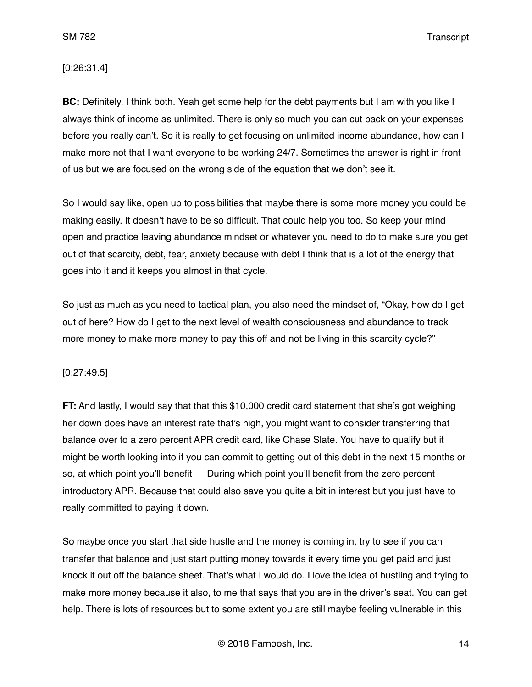SM 782 Transcript

#### [0:26:31.4]

**BC:** Definitely, I think both. Yeah get some help for the debt payments but I am with you like I always think of income as unlimited. There is only so much you can cut back on your expenses before you really can't. So it is really to get focusing on unlimited income abundance, how can I make more not that I want everyone to be working 24/7. Sometimes the answer is right in front of us but we are focused on the wrong side of the equation that we don't see it.

So I would say like, open up to possibilities that maybe there is some more money you could be making easily. It doesn't have to be so difficult. That could help you too. So keep your mind open and practice leaving abundance mindset or whatever you need to do to make sure you get out of that scarcity, debt, fear, anxiety because with debt I think that is a lot of the energy that goes into it and it keeps you almost in that cycle.

So just as much as you need to tactical plan, you also need the mindset of, "Okay, how do I get out of here? How do I get to the next level of wealth consciousness and abundance to track more money to make more money to pay this off and not be living in this scarcity cycle?"

### [0:27:49.5]

**FT:** And lastly, I would say that that this \$10,000 credit card statement that she's got weighing her down does have an interest rate that's high, you might want to consider transferring that balance over to a zero percent APR credit card, like Chase Slate. You have to qualify but it might be worth looking into if you can commit to getting out of this debt in the next 15 months or so, at which point you'll benefit — During which point you'll benefit from the zero percent introductory APR. Because that could also save you quite a bit in interest but you just have to really committed to paying it down.

So maybe once you start that side hustle and the money is coming in, try to see if you can transfer that balance and just start putting money towards it every time you get paid and just knock it out off the balance sheet. That's what I would do. I love the idea of hustling and trying to make more money because it also, to me that says that you are in the driver's seat. You can get help. There is lots of resources but to some extent you are still maybe feeling vulnerable in this